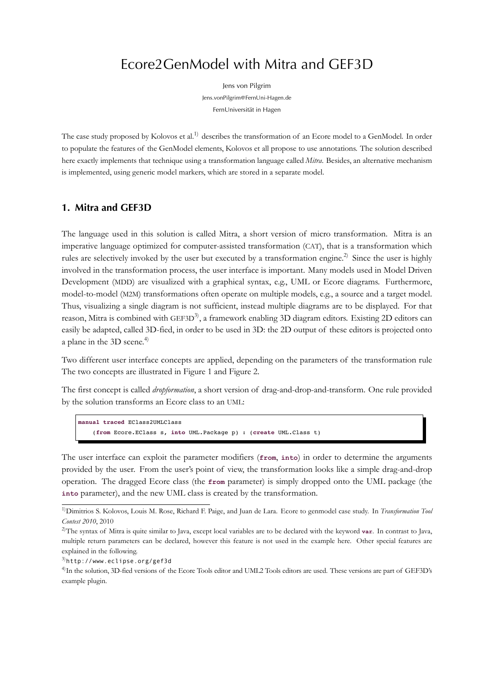# Ecore2GenModel with Mitra and GEF3D

Jens von Pilgrim Jens.vonPilgrim@FernUni-Hagen.de FernUniversität in Hagen

The case study proposed by Kolovos et al.<sup>1)</sup> describes the transformation of an Ecore model to a GenModel. In order to populate the features of the GenModel elements, Kolovos et all propose to use annotations. The solution described here exactly implements that technique using a transformation language called *Mitra*. Besides, an alternative mechanism is implemented, using generic model mar[ker](#page-0-0)s, which are stored in a separate model.

## **1. Mitra and GEF3D**

<span id="page-0-3"></span>The language used in this solution is called Mitra, a short version of micro transformation. Mitra is an imperative language optimized for computer-assisted transformation (CAT), that is a transformation which rules are selectively invoked by the user but executed by a transformation engine.<sup>2)</sup> Since the user is highly involved in the transformation process, the user interface is important. Many models used in Model Driven Development (MDD) are visualized with a graphical syntax, e.g., UML or Ecore diagrams. Furthermore, model-to-model (M2M) transformations often operate on multiple models, e.g., a [so](#page-0-1)urce and a target model. Thus, visualizing a single diagram is not sufficient, instead multiple diagrams are to be displayed. For that reason, Mitra is combined with GEF3D<sup>3</sup>, a framework enabling 3D diagram editors. Existing 2D editors can easily be adapted, called 3D-fied, in order to be used in 3D: the 2D output of these editors is projected onto a plane in the 3D scene.<sup>4)</sup>

Two different user interface concepts [ar](#page-0-2)e applied, depending on the parameters of the transformation rule The two concepts are illustrated in Figure 1 and Figure 2.

The first concept is called *dropformation*, a short version of drag-and-drop-and-transform. One rule provided by the solution transforms an Ecore class to an UML:

```
manual traced EClass2UMLClass
    (from Ecore.EClass s, into UML.Package p) : (create UML.Class t)
```
The user interface can exploit the parameter modifiers (**from**, **into**) in order to determine the arguments provided by the user. From the user's point of view, the transformation looks like a simple drag-and-drop operation. The dragged Ecore class (the **from** parameter) is simply dropped onto the UML package (the **into** parameter), and the new UML class is created by the transformation.

<sup>1)</sup>Dimitrios S. Kolovos, Louis M. Rose, Richard F. Paige, and Juan de Lara. Ecore to genmodel case study. In *Transformation Tool Contest 2010*, 2010

<sup>2)</sup>The syntax of Mitra is quite similar to Java, except local variables are to be declared with the keyword **var**. In contrast to Java, multiple return parameters can be declared, however this feature is not used in the example here. Other special features are explained in the following.

<span id="page-0-0"></span><sup>3)</sup>http://www.eclipse.org/gef3d

<span id="page-0-2"></span><span id="page-0-1"></span><sup>&</sup>lt;sup>4)</sup>In the solution, 3D-fied versions of the Ecore Tools editor and UML2 Tools editors are used. These versions are part of GEF3D's example plugin.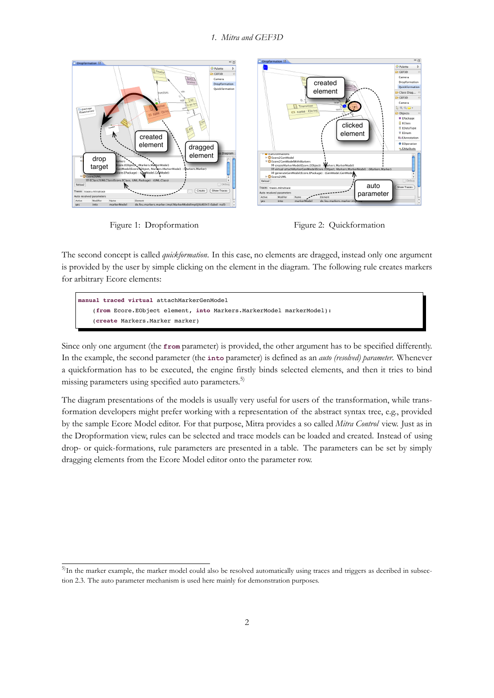

Figure 1: Dropformation Figure 2: Quickformation

<span id="page-1-1"></span>

The second concept is called *quickformation*. In this case, no elements are dragged, instead only one argument is provided by the user by simple clicking on the element in the diagram. The following rule creates markers for arbitrary Ecore elements:

| manual traced virtual attachMarkerGenModel                          |  |
|---------------------------------------------------------------------|--|
| (from Ecore.EObject element, into Markers.MarkerModel markerModel): |  |
| (create Markers.Marker marker)                                      |  |

Since only one argument (the **from** parameter) is provided, the other argument has to be specified differently. In the example, the second parameter (the **into** parameter) is defined as an *auto (resolved) parameter*. Whenever a quickformation has to be executed, the engine firstly binds selected elements, and then it tries to bind missing parameters using specified auto parameters.<sup>5)</sup>

The diagram presentations of the models is usually very useful for users of the transformation, while transformation developers might prefer working with a representation of the abstract syntax tree, e.g., provided by the sample Ecore Model editor. For that purpos[e,](#page-1-0) Mitra provides a so called *Mitra Control* view. Just as in the Dropformation view, rules can be selected and trace models can be loaded and created. Instead of using drop- or quick-formations, rule parameters are presented in a table. The parameters can be set by simply dragging elements from the Ecore Model editor onto the parameter row.

<span id="page-1-0"></span><sup>&</sup>lt;sup>5)</sup>In the marker example, the marker model could also be resolved automatically using traces and triggers as decribed in subsection 2.3. The auto parameter mechanism is used here mainly for demonstration purposes.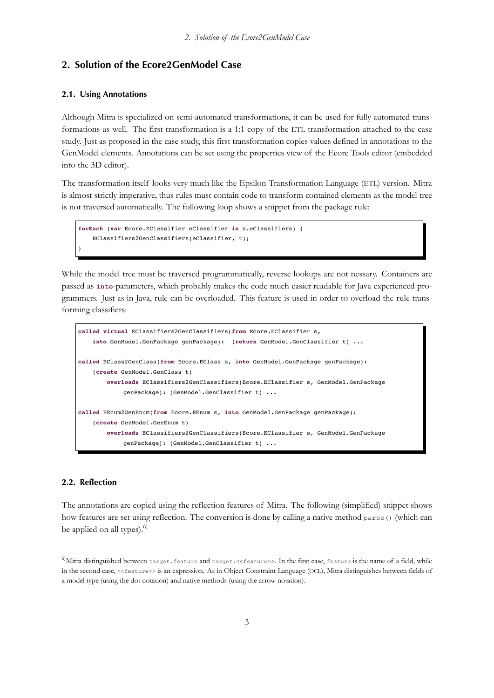## 2. Solution of the Ecore2GenModel Case

### **2.1. Using Annotations**

Although Mitra is specialized on semi-automated transformations, it can be used for fully automated transformations as well. The first transformation is a 1:1 copy of the ETL transformation attached to the case study. Just as proposed in the case study, this first transformation copies values defined in annotations to the GenModel elements. Annotations can be set using the properties view of the Ecore Tools editor (embedded into the 3D editor).

*2. Solution of the Ecore2GenModel Case*

The transformation itself looks very much like the Epsilon Transformation Language (ETL) version. Mitra is almost strictly imperative, thus rules must contain code to transform contained elements as the model tree is not traversed automatically. The following loop shows a snippet from the package rule:

```
forEach (var Ecore.EClassifier eClassifier in s.eClassifiers) {
   EClassifiers2GenClassifiers(eClassifier, t);
}
```
While the model tree must be traversed programmatically, reverse lookups are not nessary. Containers are passed as **into**-parameters, which probably makes the code much easier readable for Java experienced programmers. Just as in Java, rule can be overloaded. This feature is used in order to overload the rule transforming classifiers:

```
called virtual EClassifiers2GenClassifiers(from Ecore.EClassifier s,
    into GenModel.GenPackage genPackage): (return GenModel.GenClassifier t) ...
called EClass2GenClass(from Ecore.EClass s, into GenModel.GenPackage genPackage):
    (create GenModel.GenClass t)
        overloads EClassifiers2GenClassifiers(Ecore.EClassifier s, GenModel.GenPackage
             genPackage): (GenModel.GenClassifier t) ...
called EEnum2GenEnum(from Ecore.EEnum s, into GenModel.GenPackage genPackage):
    (create GenModel.GenEnum t)
        overloads EClassifiers2GenClassifiers(Ecore.EClassifier s, GenModel.GenPackage
             genPackage): (GenModel.GenClassifier t) ...
```
### **2.2. Reflection**

The annotations are copied using the reflection features of Mitra. The following (simplified) snippet shows how features are set using reflection. The conversion is done by calling a native method parse() (which can be applied on all types).<sup>6)</sup>

<span id="page-2-0"></span> $^6$ Mitra distinguished between target.feature and target.<<feature>>. In the first case, feature is the name of a field, while in the second case, <<featu[re](#page-2-0)>> is an expression. As in Object Constraint Language (OCL), Mitra distinguishes between fields of a model type (using the dot notation) and native methods (using the arrow notation).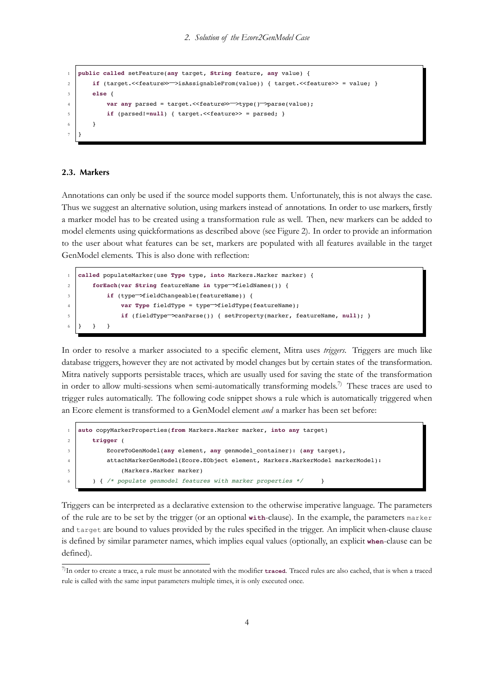```
1 public called setFeature(any target, String feature, any value) {
2 if (target.<<feature>>\rightarrowisAssignableFrom(value)) { target.<<feature>> = value; }<br>else {
       3 else {
4 var any parsed = target.<<feature>>−>type()−>parse(value);
           if (parsed!=null) { target. << feature>> = parsed; }
6 }
7 }
```
*2. Solution of the Ecore2GenModel Case*

### **2.3. Markers**

Annotations can only be used if the source model supports them. Unfortunately, this is not always the case. Thus we suggest an alternative solution, using markers instead of annotations. In order to use markers, firstly a marker model has to be created using a transformation rule as well. Then, new markers can be added to model elements using quickformations as described above (see Figure 2). In order to provide an information to the user about what features can be set, markers are populated with all features available in the target GenModel elements. This is also done with reflection:

```
1 called populateMarker(use Type type, into Markers.Marker marker) {
2 forEach(var String featureName in type−>fieldNames()) {
3 if (type<sup>-</sup>>fieldChangeable(featureName)) {<br>var Tvpe fieldTvpe = tvpe<sup>-</sup>>fieldTvpe(
4 var Type fieldType = type−>fieldType(featureName);
                5 if (fieldType−>canParse()) { setProperty(marker, featureName, null); }
6 } } }
```
In order to resolve a marker associated to a specific element, Mitra uses *triggers*. Triggers are much like database triggers, however they are not activated by model changes but by certain states of the transformation. Mitra natively supports persistable traces, which are usually used for saving the state of the transformation in order to allow multi-sessions when semi-automatically transforming models.<sup>7)</sup> These traces are used to trigger rules automatically. The following code snippet shows a rule which is automatically triggered when an Ecore element is transformed to a GenModel element *and* a marker has been set before:

```
1 auto copyMarkerProperties(from Markers.Marker marker, into any target)
2 trigger (
          3 EcoreToGenModel(any element, any genmodel_container): (any target),
4 attachMarkerGenModel(Ecore.EObject element, Markers.MarkerModel markerModel):
5 (Markers.Marker marker)
      6 ) { /* populate genmodel features with marker properties */ }
```
Triggers can be interpreted as a declarative extension to the otherwise imperative language. The parameters of the rule are to be set by the trigger (or an optional **with**-clause). In the example, the parameters marker and target are bound to values provided by the rules specified in the trigger. An implicit when-clause clause is defined by similar parameter names, which implies equal values (optionally, an explicit **when**-clause can be defined).

<sup>7)</sup>In order to create a trace, a rule must be annotated with the modifier **traced**. Traced rules are also cached, that is when a traced rule is called with the same input parameters multiple times, it is only executed once.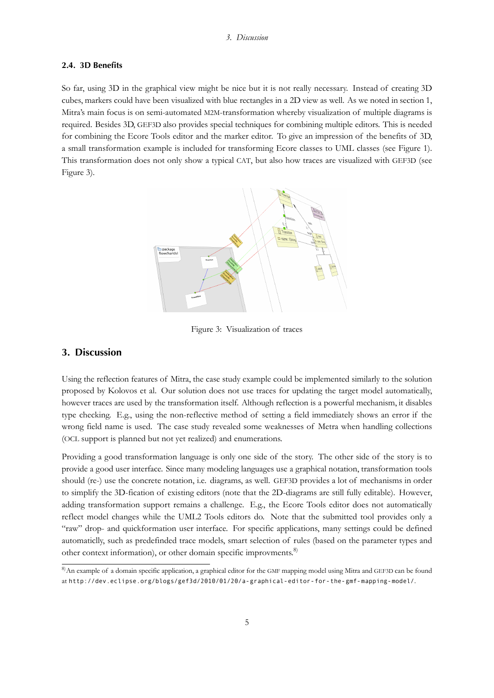#### **2.4. 3D Benefits**

<span id="page-4-0"></span>So far, using 3D in the graphical view might be nice but it is not really necessary. Instead of creating 3D cubes, markers could have been visualized with blue rectangles in a 2D view as well. As we noted in section 1, Mitra's main focus is on semi-automated M2M-transformation whereby visualization of multiple diagrams is required. Besides 3D, GEF3D also provides special techniques for combining multiple editors. This is needed for combining the Ecore Tools editor and the marker editor. To give an impression of the benef[its of 3D](#page-0-3), a small transformation example is included for transforming Ecore classes to UML classes (see Figure 1). This transformation does not only show a typical CAT, but also how traces are visualized with GEF3D (see Figure 3).



Figure 3: Visualization of traces

### **3. Discussion**

Using the reflection features of Mitra, the case study example could be implemented similarly to the solution proposed by Kolovos et al. Our solution does not use traces for updating the target model automatically, however traces are used by the transformation itself. Although reflection is a powerful mechanism, it disables type checking. E.g., using the non-reflective method of setting a field immediately shows an error if the wrong field name is used. The case study revealed some weaknesses of Metra when handling collections (OCL support is planned but not yet realized) and enumerations.

Providing a good transformation language is only one side of the story. The other side of the story is to provide a good user interface. Since many modeling languages use a graphical notation, transformation tools should (re-) use the concrete notation, i.e. diagrams, as well. GEF3D provides a lot of mechanisms in order to simplify the 3D-fication of existing editors (note that the 2D-diagrams are still fully editable). However, adding transformation support remains a challenge. E.g., the Ecore Tools editor does not automatically reflect model changes while the UML2 Tools editors do. Note that the submitted tool provides only a "raw" drop- and quickformation user interface. For specific applications, many settings could be defined automaticlly, such as predefinded trace models, smart selection of rules (based on the parameter types and other context information), or other domain specific improvments.<sup>8)</sup>

<sup>8)</sup>An example of a domain specific application, a graphical editor for the GMF mapping model using Mitra and GEF3D can be found at http://dev.eclipse.org/blogs/gef3d/2010/01/20/a-graphical-editor-for-the-gmf-mapping-model/.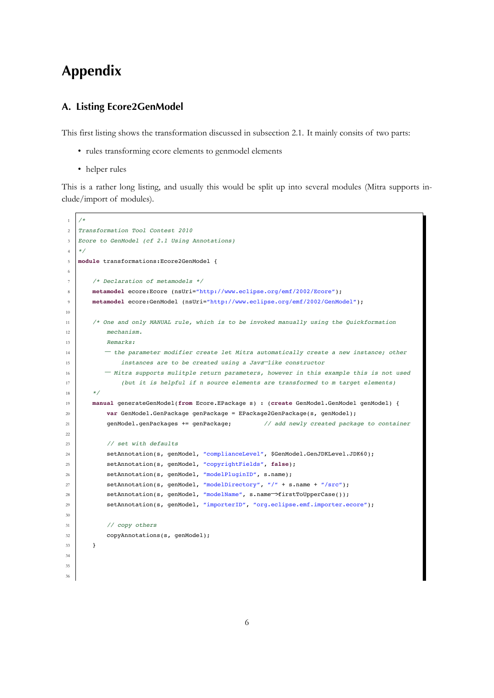# **Appendix**

## **A. Listing Ecore2GenModel**

This first listing shows the transformation discussed in subsection 2.1. It mainly consits of two parts:

- rules transforming ecore elements to genmodel elements
- helper rules

This is a rather long listing, and usually this would be split up into several modules (Mitra supports include/import of modules).

```
1 /*
2 Transformation Tool Contest 2010
3 Ecore to GenModel (cf 2.1 Using Annotations)
   \star /
5 module transformations:Ecore2GenModel {
6
       /* Declaration of metamodels */8 metamodel ecore:Ecore (nsUri="http://www.eclipse.org/emf/2002/Ecore");
9 metamodel ecore:GenModel (nsUri="http://www.eclipse.org/emf/2002/GenModel");
10
11 /* One and only MANUAL rule, which is to be invoked manually using the Quickformation
12 mechanism.
13 Remarks:
14 <sup>−</sup> the parameter modifier create let Mitra automatically create a new instance; other<br>15 instances are to be created using a Java-like constructor
15 instances are to be created using a Java−like constructor
<sup>16</sup> <sup>−</sup> Mitra supports mulitple return parameters, however in this example this is not used<br>
(but it is helpful if n source elements are transformed to m target elements)
                (but it is helpful if n source elements are transformed to m target elements)
18 */
19 manual generateGenModel(from Ecore.EPackage s) : (create GenModel.GenModel genModel) {
20 var GenModel.GenPackage genPackage = EPackage2GenPackage(s, genModel);
21 genModel.genPackages += genPackage; // add newly created package to container
22
23 // set with defaults
24 setAnnotation(s, genModel, "complianceLevel", $GenModel.GenJDKLevel.JDK60);
25 setAnnotation(s, genModel, "copyrightFields", false);
26 setAnnotation(s, genModel, "modelPluginID", s.name);
27 setAnnotation(s, genModel, "modelDirectory", "/" + s.name + "/src");
28 setAnnotation(s, genModel, "modelName", s.name<sup>→</sup>firstToUpperCase());<br>29 setAnnotation(s, genModel, "importerID", "org.eclipse.emf.importer.e
            setAnnotation(s, genModel, "importerID", "org.eclipse.emf.importer.ecore");
30
31 // copy others
32 | copyAnnotations(s, genModel);
33 }
34
35
36
```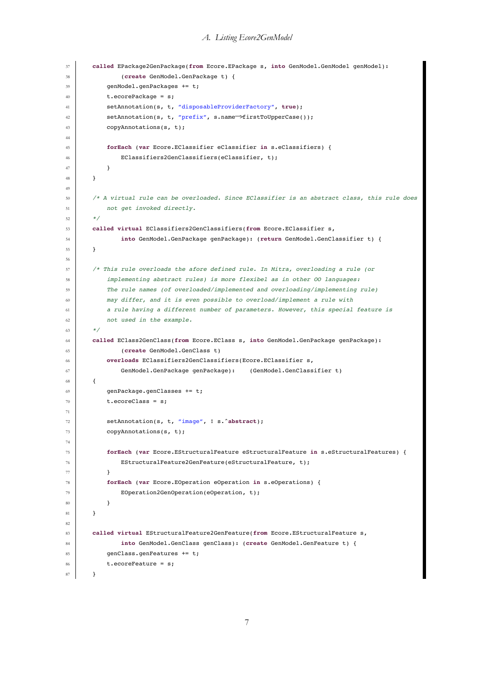```
37 called EPackage2GenPackage(from Ecore.EPackage s, into GenModel.GenModel genModel):
38 (create GenModel.GenPackage t) {
39 genModel.genPackages += t;
40 t.ecorePackage = s;
41 setAnnotation(s, t, "disposableProviderFactory", true);
42 setAnnotation(s, t, "prefix", s.name−>firstToUpperCase());
         copyAnnotations(s, t);
44
45 forEach (var Ecore.EClassifier eClassifier in s.eClassifiers) {
46 EClassifiers2GenClassifiers(eClassifier, t);
47 }
48 }
49
50 /* A virtual rule can be overloaded. Since EClassifier is an abstract class, this rule does
51 not get invoked directly.
52 \t \star/53 called virtual EClassifiers2GenClassifiers(from Ecore.EClassifier s,
54 into GenModel.GenPackage genPackage): (return GenModel.GenClassifier t) {
55 }
56
57 /* This rule overloads the afore defined rule. In Mitra, overloading a rule (or
58 implementing abstract rules) is more flexibel as in other OO languages:
59 The rule names (of overloaded/implemented and overloading/implementing rule)
60 may differ, and it is even possible to overload/implement a rule with
61 a rule having a different number of parameters. However, this special feature is
62 not used in the example.
63 */
64 called EClass2GenClass(from Ecore.EClass s, into GenModel.GenPackage genPackage):
65 (create GenModel.GenClass t)
66 overloads EClassifiers2GenClassifiers(Ecore.EClassifier s,
67 \vert GenModel.GenPackage genPackage): (GenModel.GenClassifier t)
68 {
69 genPackage.genClasses += t;
70 t.ecoreClass = s;
71
72 setAnnotation(s, t, "image", ! s.^abstract);
73 copyAnnotations(s, t);
74
75 forEach (var Ecore.EStructuralFeature eStructuralFeature in s.eStructuralFeatures) {
76 EStructuralFeature2GenFeature(eStructuralFeature, t);
77 }
78 forEach (var Ecore.EOperation eOperation in s.eOperations) {
79 EOperation2GenOperation(eOperation, t);
80 }
81 }
82
83 called virtual EStructuralFeature2GenFeature(from Ecore.EStructuralFeature s,
84 into GenModel.GenClass genClass): (create GenModel.GenFeature t) {
85 genClass.genFeatures += t;
86 t.ecoreFeature = s:
87 }
```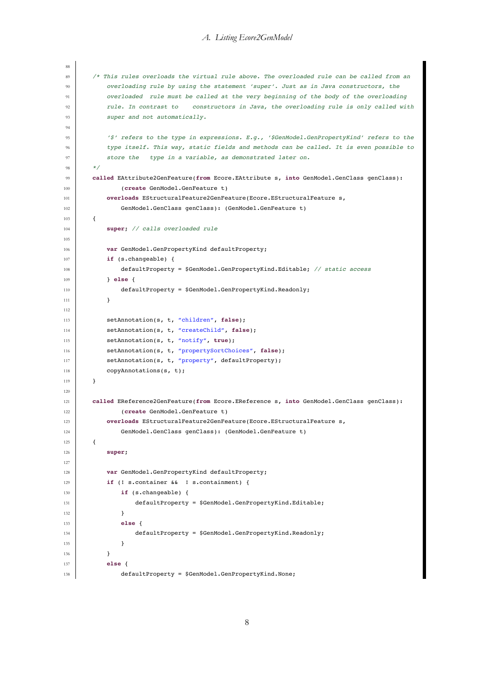#### *A. Listing Ecore2GenModel*

```
88
89 /* This rules overloads the virtual rule above. The overloaded rule can be called from an
90 overloading rule by using the statement 'super'. Just as in Java constructors, the
91 overloaded rule must be called at the very beginning of the body of the overloading
92 rule. In contrast to constructors in Java, the overloading rule is only called with
93 super and not automatically.
94
95 '$' refers to the type in expressions. E.g., '$GenModel.GenPropertyKind' refers to the
96 type itself. This way, static fields and methods can be called. It is even possible to
97 store the type in a variable, as demonstrated later on.
98 */
99 called EAttribute2GenFeature(from Ecore.EAttribute s, into GenModel.GenClass genClass):
100 (create GenModel.GenFeature t)
101 overloads EStructuralFeature2GenFeature(Ecore.EStructuralFeature s,
102 GenModel.GenClass genClass): (GenModel.GenFeature t)
103 {
104 super; // calls overloaded rule
105
106 var GenModel.GenPropertyKind defaultProperty;
107 if (s.changeable) {
108 defaultProperty = $GenModel.GenPropertyKind.Editable; // static access
109 } else {
110 defaultProperty = $GenModel.GenPropertyKind.Readonly;
111 }
112
113 SetAnnotation(s, t, "children", false);
114 setAnnotation(s, t, "createChild", false);
115 SetAnnotation(s, t, "notify", true);
116 SetAnnotation(s, t, "propertySortChoices", false);
117 setAnnotation(s, t, "property", defaultProperty);
118 copyAnnotations(s, t);
119 }
120
121 called EReference2GenFeature(from Ecore.EReference s, into GenModel.GenClass genClass):
122 (create GenModel.GenFeature t)
123 overloads EStructuralFeature2GenFeature(Ecore.EStructuralFeature s,
124 GenModel.GenClass genClass): (GenModel.GenFeature t)
125 \left\{ \begin{array}{ccc} \end{array} \right\}126 super;
127
128 var GenModel.GenPropertyKind defaultProperty;
129 if (! s.container && ! s.containment) {
130 if (s.changeable) {
131 defaultProperty = $GenModel.GenPropertyKind.Editable;
132 }
133 else {
134 defaultProperty = $GenModel.GenPropertyKind.Readonly;
135 }
136 }
137 else {
138 defaultProperty = $GenModel.GenPropertyKind.None;
```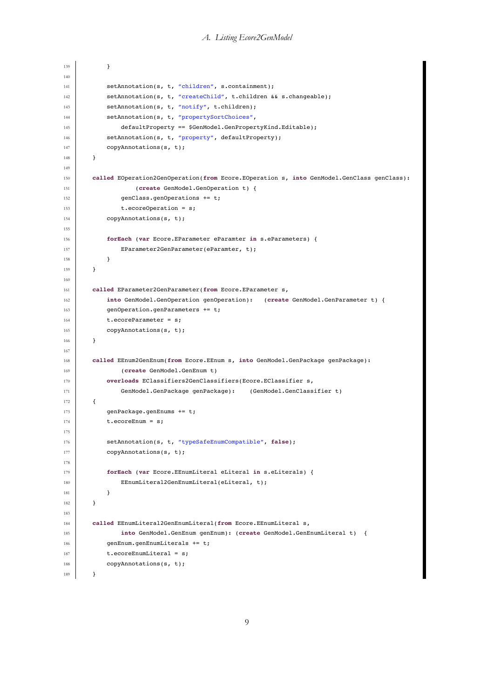```
139 }
140
141 setAnnotation(s, t, "children", s.containment);
142 setAnnotation(s, t, "createChild", t.children && s.changeable);
143 setAnnotation(s, t, "notify", t.children);
144 setAnnotation(s, t, "propertySortChoices",
145 defaultProperty == $GenModel.GenPropertyKind.Editable);
146 setAnnotation(s, t, "property", defaultProperty);
147 copyAnnotations(s, t);
148 }
149
150 called EOperation2GenOperation(from Ecore.EOperation s, into GenModel.GenClass genClass):
151 (create GenModel.GenOperation t) {
152 genClass.genOperations += t;
153 t.ecoreOperation = s;
154 copyAnnotations(s, t);
155
156 forEach (var Ecore.EParameter eParamter in s.eParameters) {
157 EParameter2GenParameter(eParamter, t);
158 }
159 }
160
161 called EParameter2GenParameter(from Ecore.EParameter s,
162 into GenModel.GenOperation genOperation): (create GenModel.GenParameter t) {
163 genOperation.genParameters += t;
164 t.ecoreParameter = s;
165 copyAnnotations(s, t);
166 }
167
168 called EEnum2GenEnum(from Ecore.EEnum s, into GenModel.GenPackage genPackage):
169 (create GenModel.GenEnum t)
170 overloads EClassifiers2GenClassifiers(Ecore.EClassifier s,
171 GenModel.GenPackage genPackage): (GenModel.GenClassifier t)
172 {
173 genPackage.genEnums += t;
174 t.ecoreEnum = s;
175
176 setAnnotation(s, t, "typeSafeEnumCompatible", false);
177 copyAnnotations(s, t);
178
179 forEach (var Ecore.EEnumLiteral eLiteral in s.eLiterals) {
180 EEnumLiteral2GenEnumLiteral(eLiteral, t);
181 }
182 }
183
184 called EEnumLiteral2GenEnumLiteral(from Ecore.EEnumLiteral s,
185 into GenModel.GenEnum genEnum): (create GenModel.GenEnumLiteral t) {
186 genEnum.genEnumLiterals += t;
187 t.ecoreEnumLiteral = s;
188 copyAnnotations(s, t);
189 }
```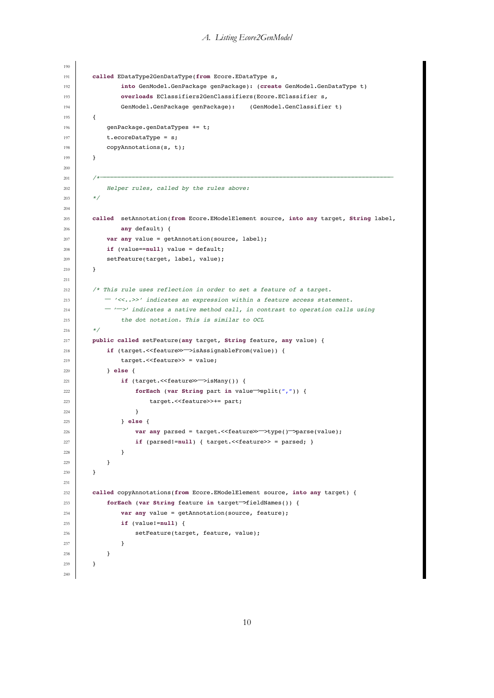### *A. Listing Ecore2GenModel*

```
190
191 called EDataType2GenDataType(from Ecore.EDataType s,
192 into GenModel.GenPackage genPackage): (create GenModel.GenDataType t)
193 overloads EClassifiers2GenClassifiers(Ecore.EClassifier s,
194 GenModel.GenPackage genPackage): (GenModel.GenClassifier t)
195 {
196 genPackage.genDataTypes += t;
197 t.ecoreDataType = s;
198 copyAnnotations(s, t);
199 }
200
201 /*−−−−−−−−−−−−−−−−−−−−−−−−−−−−−−−−−−−−−−−−−−−−−−−−−−−−−−−−−−−−−−−−−−−−−−−−−−−−−−−−−
202 Helper rules, called by the rules above:
203 */
204
205 called setAnnotation(from Ecore.EModelElement source, into any target, String label,
206 any default) {
207 var any value = getAnnotation(source, label);
208 if (value==null) value = default;
209 SetFeature(target, label, value);
210 }
211
212 /* This rule uses reflection in order to set a feature of a target.
213 <sup>−</sup> '<<..>>' indicates an expression within a feature access statement.<br>
214 <sup>−</sup> '<sup>-</sup>>' indicates a native method call, in contrast to operation calls
214 <sup>−</sup> <sup>-</sup><sup>−</sup>>' indicates a native method call, in contrast to operation calls using<br>the dot notation. This is similar to OCL
                the dot notation. This is similar to OCL
216 * /217 public called setFeature(any target, String feature, any value) {
218 if (target.<<feature>>\rightarrowisAssignableFrom(value)) {<br>219 target.<<feature>> = value:
                target.<<feature>> = value;
220 } else {
221 if (target. <<feature≫→isMany()) {<br>forEach (var String part in val)
222 forEach (var String part in value<sup>→</sup>split(",")) {<br>
target. << feature>>+= part;
                         target.<<feature>>+= part;
224 }
225 } else {
226 var any parsed = target. <<feature>>\rightarrowtype()\rightarrowparse(value);<br>if (parsed!=null) { target. <<feature>> = parsed: }
                     if (parsed!=null) { target. << feature>> = parsed; }
228 }
229 }
230 }
231
232 called copyAnnotations(from Ecore.EModelElement source, into any target) {
233 forEach (var String feature in target−>fieldNames()) {
                var any value = getAnnotation(source, feature);
235 if (value!=null) {
236 setFeature(target, feature, value);
237 }
238 }
239 }
240
```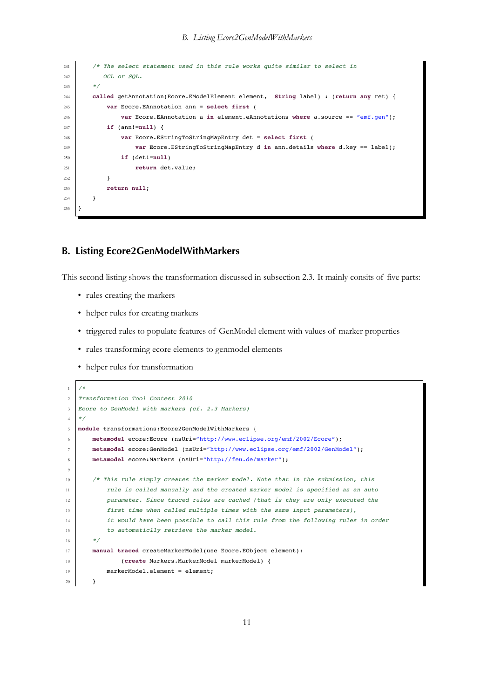```
241 /* The select statement used in this rule works quite similar to select in
242 OCL or SOL.
243 */
244 called getAnnotation(Ecore.EModelElement element, String label) : (return any ret) {
245 var Ecore.EAnnotation ann = select first (
246 var Ecore.EAnnotation a in element.eAnnotations where a.source == "emf.gen");
247 if (ann!=null) {
248 var Ecore.EStringToStringMapEntry det = select first (
249 var Ecore.EStringToStringMapEntry d in ann.details where d.key == label);
250 if (det!=null)
251 return det.value;
252 }
253 return null;
254 }
255 }
```
*B. Listing Ecore2GenModelWithMarkers*

## **B. Listing Ecore2GenModelWithMarkers**

This second listing shows the transformation discussed in subsection 2.3. It mainly consits of five parts:

- rules creating the markers
- helper rules for creating markers
- triggered rules to populate features of GenModel element with values of marker properties
- rules transforming ecore elements to genmodel elements
- helper rules for transformation

```
1 /*
2 Transformation Tool Contest 2010
3 Ecore to GenModel with markers (cf. 2.3 Markers)
4 \times5 module transformations:Ecore2GenModelWithMarkers {
6 metamodel ecore:Ecore (nsUri="http://www.eclipse.org/emf/2002/Ecore");
7 metamodel ecore:GenModel (nsUri="http://www.eclipse.org/emf/2002/GenModel");
      8 metamodel ecore:Markers (nsUri="http://feu.de/marker");
9
10 | /* This rule simply creates the marker model. Note that in the submission, this
11 | rule is called manually and the created marker model is specified as an auto
12 parameter. Since traced rules are cached (that is they are only executed the
13 first time when called multiple times with the same input parameters),
14 it would have been possible to call this rule from the following rules in order
15 to automaticlly retrieve the marker model.
16 */
17 manual traced createMarkerModel(use Ecore.EObject element):
18 (create Markers.MarkerModel markerModel) {
19 | markerModel.element = element;
20 }
```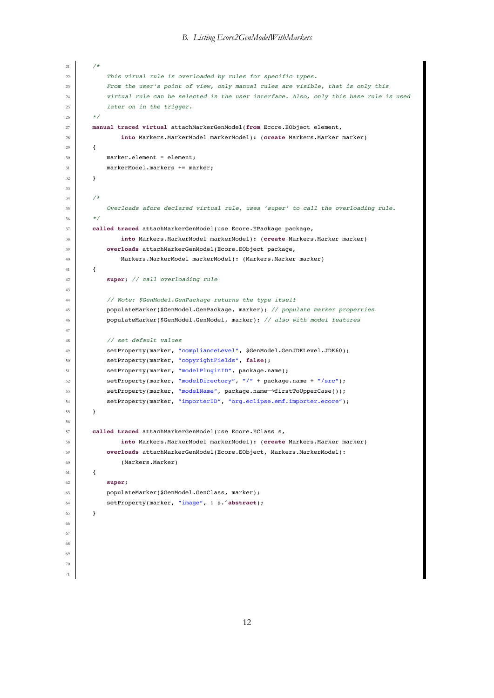```
21 /*
22 This virual rule is overloaded by rules for specific types.
23 From the user's point of view, only manual rules are visible, that is only this
24 virtual rule can be selected in the user interface. Also, only this base rule is used
25 later on in the trigger.
26 */
27 manual traced virtual attachMarkerGenModel(from Ecore.EObject element,
28 into Markers.MarkerModel markerModel): (create Markers.Marker marker)
29 {
30 marker.element = element;
31 markerModel.markers += marker;
32 }
33
34 /*
35 Overloads afore declared virtual rule, uses 'super' to call the overloading rule.
36 */
37 called traced attachMarkerGenModel(use Ecore.EPackage package,
38 into Markers.MarkerModel markerModel): (create Markers.Marker marker)
39 overloads attachMarkerGenModel(Ecore.EObject package,
40 Markers.MarkerModel markerModel): (Markers.Marker marker)
41 \left\{ \begin{array}{ccc} 4 & 1 \\ 1 & 1 \end{array} \right\}42 super; // call overloading rule
\overline{43}44 // Note: $GenModel.GenPackage returns the type itself
45 populateMarker($GenModel.GenPackage, marker); // populate marker properties
46 populateMarker($GenModel.GenModel, marker); // also with model features
47
48 // set default values
49 SetProperty(marker, "complianceLevel", $GenModel.GenJDKLevel.JDK60);
50 setProperty(marker, "copyrightFields", false);
51 setProperty(marker, "modelPluginID", package.name);
52 setProperty(marker, "modelDirectory", "/" + package.name + "/src");
53 setProperty(marker, "modelName", package.name<sup>→</sup>firstToUpperCase());<br>setProperty(marker, "importerID", "org.eclipse.emf.importer.ecore")
          setProperty(marker, "importerID", "org.eclipse.emf.importer.ecore");
55 }
56
57 called traced attachMarkerGenModel(use Ecore.EClass s,
58 into Markers.MarkerModel markerModel): (create Markers.Marker marker)
59 overloads attachMarkerGenModel(Ecore.EObject, Markers.MarkerModel):
60 (Markers.Marker)
61 \quad \text{f}62 super;
63 populateMarker($GenModel.GenClass, marker);
64 setProperty(marker, "image", ! s.^abstract);
65 }
66
67
68
69
70
71
```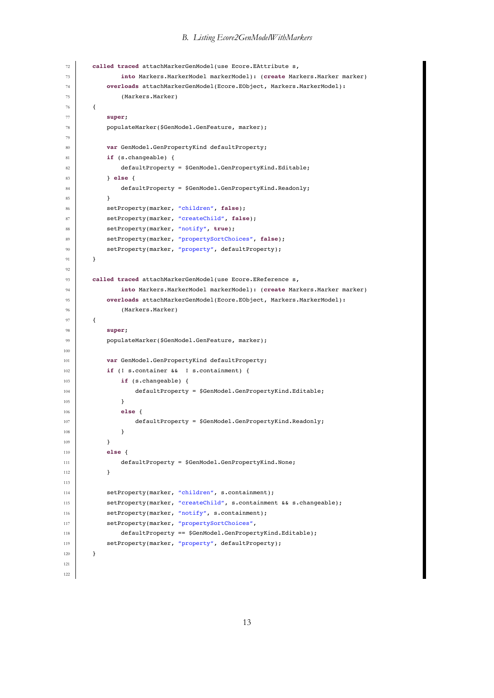### *B. Listing Ecore2GenModelWithMarkers*

```
72 called traced attachMarkerGenModel(use Ecore.EAttribute s,
73 into Markers.MarkerModel markerModel): (create Markers.Marker marker)
74 overloads attachMarkerGenModel(Ecore.EObject, Markers.MarkerModel):
75 (Markers.Marker)
76 \uparrow77 super;
78 populateMarker($GenModel.GenFeature, marker);
79
80 var GenModel.GenPropertyKind defaultProperty;
81 if (s.changeable) {
82 defaultProperty = $GenModel.GenPropertyKind.Editable;
83 } else {
84 defaultProperty = $GenModel.GenPropertyKind.Readonly;
85 }
86 setProperty(marker, "children", false);
87 setProperty(marker, "createChild", false);
88 setProperty(marker, "notify", true);
89 SetProperty(marker, "propertySortChoices", false);
90 setProperty(marker, "property", defaultProperty);
91 }
92
93 called traced attachMarkerGenModel(use Ecore.EReference s,
94 into Markers.MarkerModel markerModel): (create Markers.Marker marker)
95 overloads attachMarkerGenModel(Ecore.EObject, Markers.MarkerModel):
96 (Markers.Marker)
97 {
98 super;
99 populateMarker($GenModel.GenFeature, marker);
100
101 var GenModel.GenPropertyKind defaultProperty;
102 if (! s.container && ! s.containment) {
103 if (s.changeable) {
104 defaultProperty = $GenModel.GenPropertyKind.Editable;
105 }
106 else {
107 defaultProperty = $GenModel.GenPropertyKind.Readonly;
108 }
109 }
110 else {
111 defaultProperty = $GenModel.GenPropertyKind.None;
112 }
113
114 setProperty(marker, "children", s.containment);
115 setProperty(marker, "createChild", s.containment && s.changeable);
116 setProperty(marker, "notify", s.containment);
117 SetProperty(marker, "propertySortChoices",
118 defaultProperty == $GenModel.GenPropertyKind.Editable);
119 SetProperty(marker, "property", defaultProperty);
120 }
121
122
```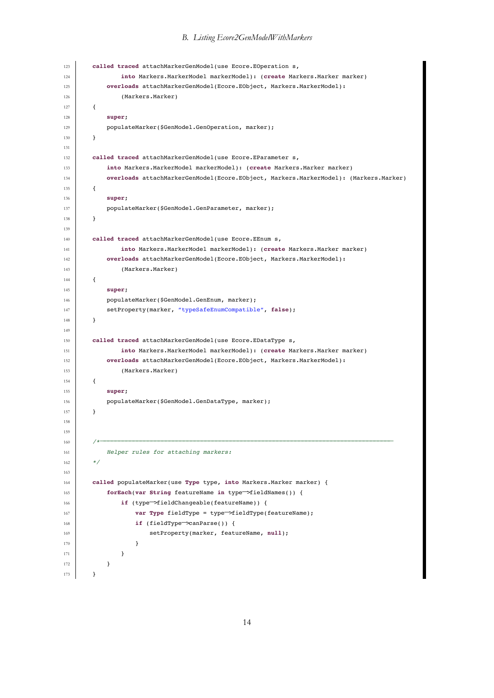### *B. Listing Ecore2GenModelWithMarkers*

```
123 called traced attachMarkerGenModel(use Ecore.EOperation s,
124 into Markers.MarkerModel markerModel): (create Markers.Marker marker)
125 overloads attachMarkerGenModel(Ecore.EObject, Markers.MarkerModel):
126 (Markers.Marker)
127 \left\{ \begin{array}{ccc} \end{array} \right\}128 super;
129 populateMarker($GenModel.GenOperation, marker);
130 }
131
132 called traced attachMarkerGenModel(use Ecore.EParameter s,
133 into Markers.MarkerModel markerModel): (create Markers.Marker marker)
134 overloads attachMarkerGenModel(Ecore.EObject, Markers.MarkerModel): (Markers.Marker)
135 {
136 super;
137 populateMarker($GenModel.GenParameter, marker);
138 }
139
140 called traced attachMarkerGenModel(use Ecore.EEnum s,
141 into Markers.MarkerModel markerModel): (create Markers.Marker marker)
142 overloads attachMarkerGenModel(Ecore.EObject, Markers.MarkerModel):
143 (Markers.Marker)
144 {
145 super;
146 | populateMarker($GenModel.GenEnum, marker);
147 setProperty(marker, "typeSafeEnumCompatible", false);
148 }
149
150 called traced attachMarkerGenModel(use Ecore.EDataType s,
151 into Markers.MarkerModel markerModel): (create Markers.Marker marker)
152 overloads attachMarkerGenModel(Ecore.EObject, Markers.MarkerModel):
153 (Markers.Marker)
154 {
155 super;
156 populateMarker($GenModel.GenDataType, marker);
157 }
158
159
160 /*−−−−−−−−−−−−−−−−−−−−−−−−−−−−−−−−−−−−−−−−−−−−−−−−−−−−−−−−−−−−−−−−−−−−−−−−−−−−−−−−−
161 Helper rules for attaching markers:
162 */
163
164 called populateMarker(use Type type, into Markers.Marker marker) {
165 forEach(var String featureName in type−>fieldNames()) {
166 if (type<sup>→</sup>>fieldChangeable(featureName)) {<br>
var Tvpe fieldTvpe = type→>fieldTvpe(
167 var Type fieldType = type<sup>→</sup>>fieldType(featureName);<br>168 if (fieldType→canParse()) {
168 if (fieldType<sup>→</sup>canParse()) {<br>169 if setProperty(marker, feat
                      setProperty(marker, featureName, null);
170 }
171 }
172 }
173 }
```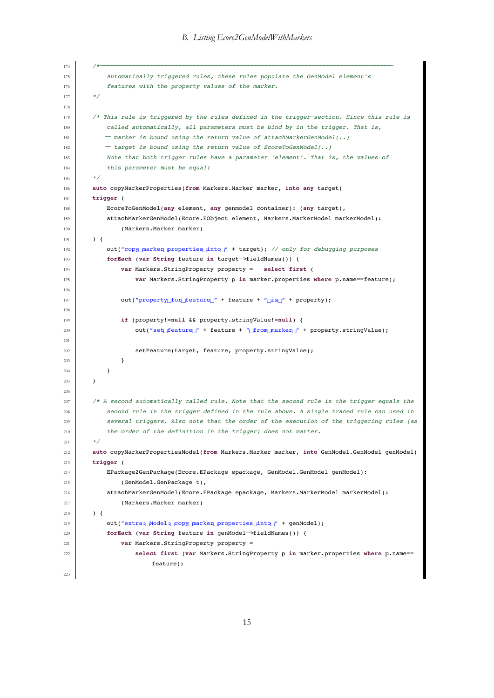```
174 /*−−−−−−−−−−−−−−−−−−−−−−−−−−−−−−−−−−−−−−−−−−−−−−−−−−−−−−−−−−−−−−−−−−−−−−−−−−−−−−−−−
175 Automatically triggered rules, these rules populate the GenModel element's
176 features with the property values of the marker.
177 * /178
179 /* This rule is triggered by the rules defined in the trigger−section. Since this rule is
            called automatically, all parameters must be bind by in the trigger. That is,
181 <sup>−</sup> marker is bound using the return value of attachMarkerGenModel(..)<br>
− target is bound using the return value of EcoreToGenModel(..)
182 <sup>−</sup> target is bound using the return value of EcoreToGenModel(..)<br>183 Note that both trigger rules have a parameter 'element'. That i.
            Note that both trigger rules have a parameter 'element'. That is, the values of
184 this parameter must be equal!
185 */
186 auto copyMarkerProperties(from Markers.Marker marker, into any target)
187 trigger (
188 EcoreToGenModel(any element, any genmodel_container): (any target),
189 attachMarkerGenModel(Ecore.EObject element, Markers.MarkerModel markerModel):
190 (Markers.Marker marker)
191 ) {
192 out("copy_marker_properties_into_" + target); // only for debugging purposes
193 forEach (var String feature in target−>fieldNames()) {
                194 var Markers.StringProperty property = select first (
195 var Markers.StringProperty p in marker.properties where p.name==feature);
196
197 out("property_for_feature_" + feature + "
is
in the property);
198
199 if (property!=null && property.stringValue!=null) {
200 out("set
\frac{1}{200} out("set
\frac{1}{200} + feature + "
\frac{1}{200} marker
\frac{1}{200} + property.stringValue);
201
202 setFeature(target, feature, property.stringValue);
203 }
204 }
205 }
206
207 /* A second automatically called rule. Note that the second rule in the trigger equals the
208 second rule in the trigger defined in the rule above. A single traced rule can used in
209 several triggers. Also note that the order of the execution of the triggering rules (as
210 the order of the definition in the trigger) does not matter.
211 */
212 auto copyMarkerPropertiesModel(from Markers.Marker marker, into GenModel.GenModel genModel)
213 trigger (
214 EPackage2GenPackage(Ecore.EPackage epackage, GenModel.GenModel genModel):
215 (GenModel.GenPackage t).
216 attachMarkerGenModel(Ecore.EPackage epackage, Markers.MarkerModel markerModel):
217 (Markers.Marker marker)
218 ) {
219 out("extra:␣Model:␣copy␣marker␣properties␣into␣" + genModel);
220 forEach (var String feature in genModel<sup>→</sup>>fieldNames()) {<br>
var Markers.StringProperty property =
                var Markers.StringProperty property =
222 select first (var Markers.StringProperty p in marker.properties where p.name==
                         feature);
223
```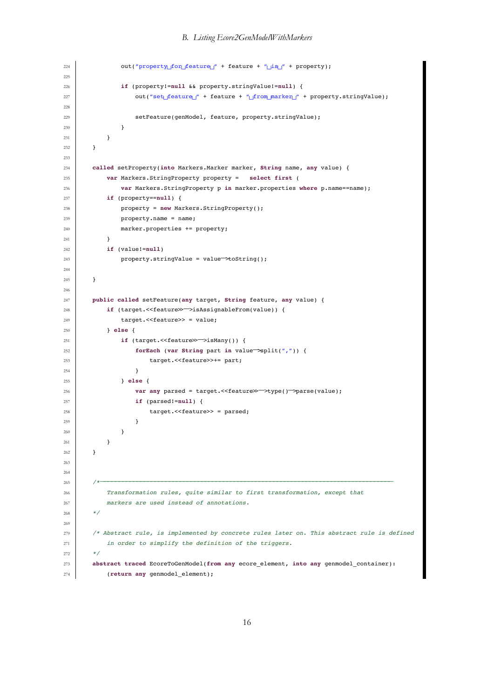*B. Listing Ecore2GenModelWithMarkers*

```
224 out("property\_for_feature\" + feature + "\_is\_" + property);
225
226 if (property!=null && property.stringValue!=null) {
227 out("set
_feature__" + feature + "
_from_marker__" + property.stringValue);
228
229 SECTER SETFEATURE (genModel, feature, property.stringValue);
230 }
231 }
232 }
233
234 called setProperty(into Markers.Marker marker, String name, any value) {
235 var Markers.StringProperty property = select first (
236 var Markers.StringProperty p in marker.properties where p.name==name);
237 if (property==null) {
238 property = new Markers.StringProperty();
239 property.name = name;
240 marker.properties += property;
241 }
242 if (value!=null)
243 property.stringValue = value−>toString();
244
245 }
246247 public called setFeature(any target, String feature, any value) {
248 if (target. <<feature>> \rightarrow isAssignableFrom(value)) {<br>249 target. <<feature>> = value:
               target.<<feature>> = value;
250 } else {
251 if (target. <<feature>>\rightarrowisMany()) {<br>forEach (var String part in val
252 forEach (var String part in value−>split(",")) {
                      target.<<feature>>+= part;
254 }
255 } else {
256 var any parsed = target. <<feature\gg → type() → parse(value);<br>if (parsed!=null) i
                  257 if (parsed!=null) {
258 arget. << feature>> = parsed;
259 }
260 }
261 }
262 }
263
264
265 /*−−−−−−−−−−−−−−−−−−−−−−−−−−−−−−−−−−−−−−−−−−−−−−−−−−−−−−−−−−−−−−−−−−−−−−−−−−−−−−−−−
266 Transformation rules, quite similar to first transformation, except that
267 markers are used instead of annotations.
268 */
269
270 /* Abstract rule, is implemented by concrete rules later on. This abstract rule is defined
271 in order to simplify the definition of the triggers.
272 */
273 abstract traced EcoreToGenModel(from any ecore_element, into any genmodel_container):
274 (return any genmodel_element);
```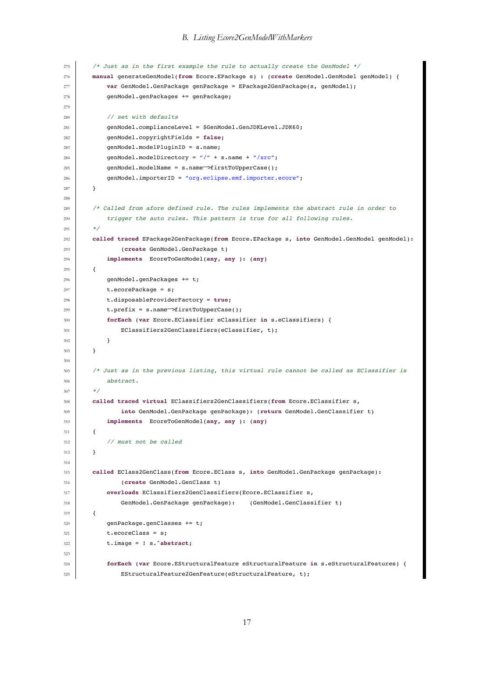```
275 /* Just as in the first example the rule to actually create the GenModel */
276 manual generateGenModel(from Ecore.EPackage s) : (create GenModel.GenModel genModel) {
277 var GenModel.GenPackage genPackage = EPackage2GenPackage(s, genModel);
278 genModel.genPackages += genPackage;
279
280 // set with defaults
281 | genModel.complianceLevel = $GenModel.GenJDKLevel.JDK60;
282 genModel.copyrightFields = false;
283 genModel.modelPluginID = s.name;
284 genModel.modelDirectory = \sqrt{n} + s.name + \sqrt{n}/src\sqrt{n};
285 genModel.modelName = s.name<sup>-</sup>>firstToUpperCase();<br>286 genModel.importerID = "org.eclipse.emf.importer.
           286 genModel.importerID = "org.eclipse.emf.importer.ecore";
287 }
288
289 /* Called from afore defined rule. The rules implements the abstract rule in order to
290 trigger the auto rules. This pattern is true for all following rules.
291
292 called traced EPackage2GenPackage(from Ecore.EPackage s, into GenModel.GenModel genModel):
293 (create GenModel.GenPackage t)
294 implements EcoreToGenModel(any, any ): (any)
295 {
296 genModel.genPackages += t;
297 t.ecorePackage = s;
298 t.disposableProviderFactory = true;
299 t.prefix = s.name<sup>→</sup>>firstToUpperCase();<br>300 forEach (var Ecore.EClassifier eClassi
           300 forEach (var Ecore.EClassifier eClassifier in s.eClassifiers) {
301 EClassifiers2GenClassifiers(eClassifier, t);
302 }
303 }
304
305 /* Just as in the previous listing, this virtual rule cannot be called as EClassifier is
306 abstract.
307 */
308 called traced virtual EClassifiers2GenClassifiers(from Ecore.EClassifier s,
309 into GenModel.GenPackage genPackage): (return GenModel.GenClassifier t)
310 implements EcoreToGenModel(any, any ): (any)
311 {
312 // must not be called
313 }
314
315 called EClass2GenClass(from Ecore.EClass s, into GenModel.GenPackage genPackage):
316 (create GenModel.GenClass t)
317 overloads EClassifiers2GenClassifiers(Ecore.EClassifier s,
318 GenModel.GenPackage genPackage): (GenModel.GenClassifier t)
319 {
320 genPackage.genClasses += t;
321 t.ecoreClass = s;
322 t.image = ! s.^abstract;
323
324 forEach (var Ecore.EStructuralFeature eStructuralFeature in s.eStructuralFeatures) {
325 EStructuralFeature2GenFeature(eStructuralFeature, t);
```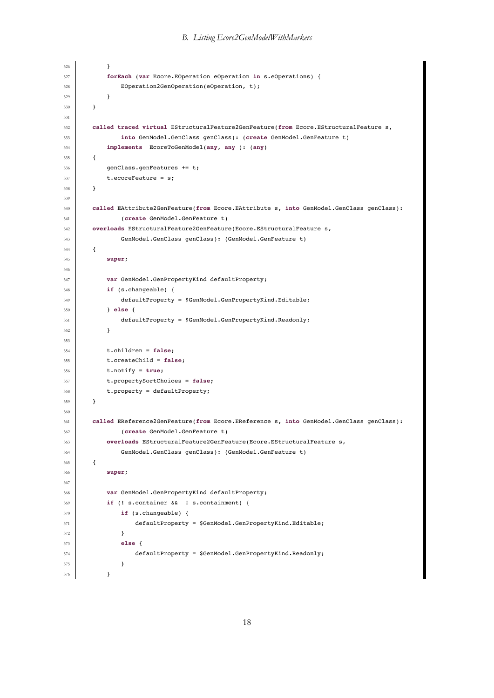```
326 }
327 forEach (var Ecore.EOperation eOperation in s.eOperations) {
328 EOperation2GenOperation(eOperation, t);
329 }
330 }
331
332 called traced virtual EStructuralFeature2GenFeature(from Ecore.EStructuralFeature s,
333 into GenModel.GenClass genClass): (create GenModel.GenFeature t)
334 implements EcoreToGenModel(any, any ): (any)
335 {
336 genClass.genFeatures += t;
337 t.ecoreFeature = s;
338 }
339
340 called EAttribute2GenFeature(from Ecore.EAttribute s, into GenModel.GenClass genClass):
341 (create GenModel.GenFeature t)
342 overloads EStructuralFeature2GenFeature(Ecore.EStructuralFeature s,
343 GenModel.GenClass genClass): (GenModel.GenFeature t)
344 {
345 super;
346
347 var GenModel.GenPropertyKind defaultProperty;
348 if (s.changeable) {
349 defaultProperty = $GenModel.GenPropertyKind.Editable;
350 } else {
351 defaultProperty = $GenModel.GenPropertyKind.Readonly;
352 }
353
354 t.children = false;
355 t.createChild = false;
356 t.notify = true;
357 t.propertySortChoices = false;
358 t.property = defaultProperty;
359 }
360
361 called EReference2GenFeature(from Ecore.EReference s, into GenModel.GenClass genClass):
362 (create GenModel.GenFeature t)
363 overloads EStructuralFeature2GenFeature(Ecore.EStructuralFeature s,
364 GenModel.GenClass genClass): (GenModel.GenFeature t)
365 {
366 super;
367
368 var GenModel.GenPropertyKind defaultProperty;
369 if (! s.container && ! s.containment) {
370 if (s.changeable) {
371 defaultProperty = $GenModel.GenPropertyKind.Editable;
372 }
373 else {
374 defaultProperty = $GenModel.GenPropertyKind.Readonly;
375 }
376 }
```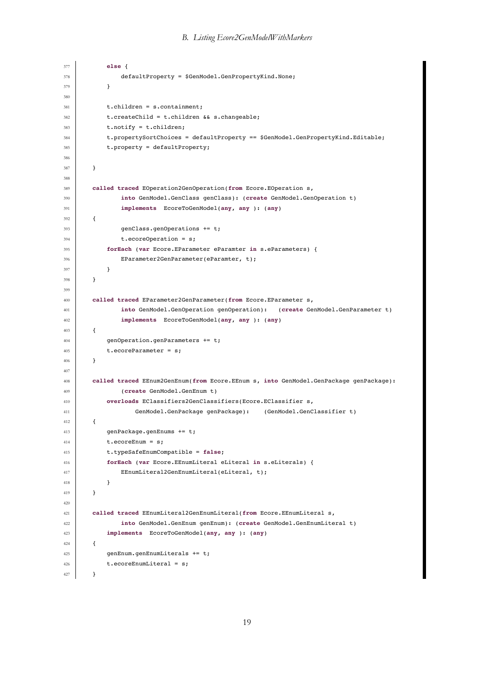```
377 else {
378 defaultProperty = $GenModel.GenPropertyKind.None;
379 }
380
381 t.children = s.containment;
382 t.createChild = t.children && s.changeable;
383 t.notify = t.children;
384 t.propertySortChoices = defaultProperty == $GenModel.GenPropertyKind.Editable;
385 t.property = defaultProperty;
386
387 }
388
389 called traced EOperation2GenOperation(from Ecore.EOperation s,
390 into GenModel.GenClass genClass): (create GenModel.GenOperation t)
391 implements EcoreToGenModel(any, any ): (any)
392 {
393 genClass.genOperations += t;
394 t.ecoreOperation = s;
395 forEach (var Ecore.EParameter eParamter in s.eParameters) {
396 EParameter2GenParameter(eParamter, t);
397 }
398 }
399
400 called traced EParameter2GenParameter(from Ecore.EParameter s,
401 into GenModel.GenOperation genOperation): (create GenModel.GenParameter t)
402 implements EcoreToGenModel(any, any ): (any)
403 {
404 genOperation.genParameters += t;
405 t.ecoreParameter = s;
406 }
407
408 called traced EEnum2GenEnum(from Ecore.EEnum s, into GenModel.GenPackage genPackage):
409 (create GenModel.GenEnum t)
410 overloads EClassifiers2GenClassifiers(Ecore.EClassifier s,
411 GenModel.GenPackage genPackage): (GenModel.GenClassifier t)
412 {
413 genPackage.genEnums += t;
414 t.ecoreEnum = s;
415 t.typeSafeEnumCompatible = false;
416 forEach (var Ecore.EEnumLiteral eLiteral in s.eLiterals) {
417 EEnumLiteral2GenEnumLiteral(eLiteral, t);
418 }
419 }
420
421 called traced EEnumLiteral2GenEnumLiteral(from Ecore.EEnumLiteral s,
422 into GenModel.GenEnum genEnum): (create GenModel.GenEnumLiteral t)
423 implements EcoreToGenModel(any, any ): (any)
424 {
425 genEnum.genEnumLiterals += t;
426 t.ecoreEnumLiteral = s;
427 }
```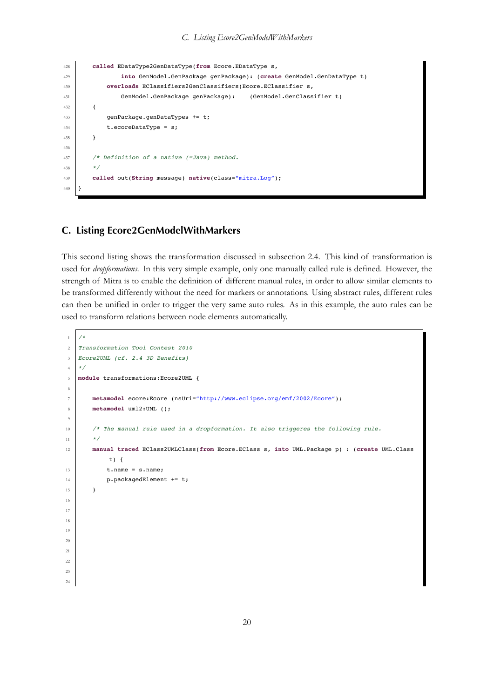```
428 called EDataType2GenDataType(from Ecore.EDataType s,
429 into GenModel.GenPackage genPackage): (create GenModel.GenDataType t)
430 overloads EClassifiers2GenClassifiers(Ecore.EClassifier s,
431 GenModel.GenPackage genPackage): (GenModel.GenClassifier t)
432 {
433 genPackage.genDataTypes += t;
434 t.ecoreDataType = s;
435 }
436
437 /* Definition of a native (=Java) method.
438 */
439 called out(String message) native(class="mitra.Log");
440 }
```
*C. Listing Ecore2GenModelWithMarkers*

## **C. Listing Ecore2GenModelWithMarkers**

This second listing shows the transformation discussed in subsection 2.4. This kind of transformation is used for *dropformations*. In this very simple example, only one manually called rule is defined. However, the strength of Mitra is to enable the definition of different manual rules, in order to allow similar elements to be transformed differently without the need for markers or [annotations. Us](#page-4-0)ing abstract rules, different rules can then be unified in order to trigger the very same auto rules. As in this example, the auto rules can be used to transform relations between node elements automatically.

```
1 / *2 Transformation Tool Contest 2010
3 Ecore2UML (cf. 2.4 3D Benefits)
4 \times/
5 module transformations:Ecore2UML {
6
       7 metamodel ecore:Ecore (nsUri="http://www.eclipse.org/emf/2002/Ecore");
8 metamodel uml2:UML ();
\overline{9}10 /* The manual rule used in a dropformation. It also triggeres the following rule.
11 \frac{1}{2} */
12 manual traced EClass2UMLClass(from Ecore.EClass s, into UML.Package p) : (create UML.Class
            t) \{13 t.name = s.name;14 \vert p.packagedElement += t;
15 }
16
17
18
19
20
21
22
23
24
```